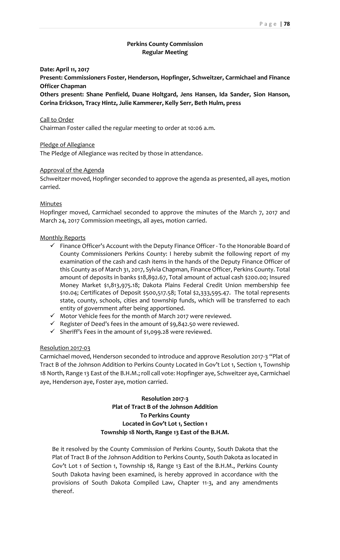# **Perkins County Commission Regular Meeting**

# **Date: April 11, 2017**

**Present: Commissioners Foster, Henderson, Hopfinger, Schweitzer, Carmichael and Finance Officer Chapman**

**Others present: Shane Penfield, Duane Holtgard, Jens Hansen, Ida Sander, Sion Hanson, Corina Erickson, Tracy Hintz, Julie Kammerer, Kelly Serr, Beth Hulm, press**

#### Call to Order

Chairman Foster called the regular meeting to order at 10:06 a.m.

#### Pledge of Allegiance

The Pledge of Allegiance was recited by those in attendance.

## Approval of the Agenda

Schweitzer moved, Hopfinger seconded to approve the agenda as presented, all ayes, motion carried.

# Minutes

Hopfinger moved, Carmichael seconded to approve the minutes of the March 7, 2017 and March 24, 2017 Commission meetings, all ayes, motion carried.

#### Monthly Reports

- ✓ Finance Officer's Account with the Deputy Finance Officer To the Honorable Board of County Commissioners Perkins County: I hereby submit the following report of my examination of the cash and cash items in the hands of the Deputy Finance Officer of this County as of March 31, 2017, Sylvia Chapman, Finance Officer, Perkins County. Total amount of deposits in banks \$18,892.67, Total amount of actual cash \$200.00; Insured Money Market \$1,813,975.18; Dakota Plains Federal Credit Union membership fee \$10.04; Certificates of Deposit \$500,517.58; Total \$2,333,595.47. The total represents state, county, schools, cities and township funds, which will be transferred to each entity of government after being apportioned.
- ✓ Motor Vehicle fees for the month of March 2017 were reviewed.
- $\checkmark$  Register of Deed's fees in the amount of \$9,842.50 were reviewed.
- ✓ Sheriff's Fees in the amount of \$1,099.28 were reviewed.

#### Resolution 2017-03

Carmichael moved, Henderson seconded to introduce and approve Resolution 2017-3 "Plat of Tract B of the Johnson Addition to Perkins County Located in Gov't Lot 1, Section 1, Township 18 North, Range 13 East of the B.H.M.; roll call vote: Hopfinger aye, Schweitzer aye, Carmichael aye, Henderson aye, Foster aye, motion carried.

# **Resolution 2017-3 Plat of Tract B of the Johnson Addition To Perkins County Located in Gov't Lot 1, Section 1 Township 18 North, Range 13 East of the B.H.M.**

Be it resolved by the County Commission of Perkins County, South Dakota that the Plat of Tract B of the Johnson Addition to Perkins County, South Dakota as located in Gov't Lot 1 of Section 1, Township 18, Range 13 East of the B.H.M., Perkins County South Dakota having been examined, is hereby approved in accordance with the provisions of South Dakota Compiled Law, Chapter 11-3, and any amendments thereof.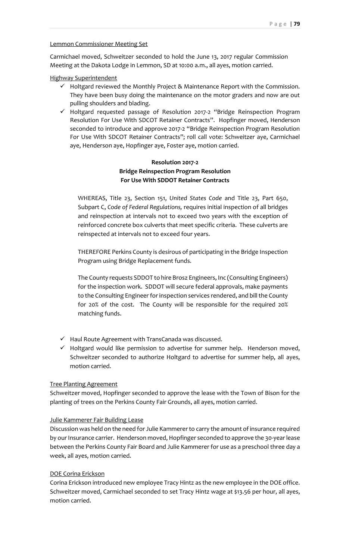## Lemmon Commissioner Meeting Set

Carmichael moved, Schweitzer seconded to hold the June 13, 2017 regular Commission Meeting at the Dakota Lodge in Lemmon, SD at 10:00 a.m., all ayes, motion carried.

# Highway Superintendent

- $\checkmark$  Holtgard reviewed the Monthly Project & Maintenance Report with the Commission. They have been busy doing the maintenance on the motor graders and now are out pulling shoulders and blading.
- ✓ Holtgard requested passage of Resolution 2017-2 "Bridge Reinspection Program Resolution For Use With SDCOT Retainer Contracts". Hopfinger moved, Henderson seconded to introduce and approve 2017-2 "Bridge Reinspection Program Resolution For Use With SDCOT Retainer Contracts"; roll call vote: Schweitzer aye, Carmichael aye, Henderson aye, Hopfinger aye, Foster aye, motion carried.

# **Resolution 2017-2 Bridge Reinspection Program Resolution For Use With SDDOT Retainer Contracts**

WHEREAS, Title 23, Section 151, *United States Code* and Title 23, Part 650, Subpart C, *Code of Federal Regulations,* requires initial inspection of all bridges and reinspection at intervals not to exceed two years with the exception of reinforced concrete box culverts that meet specific criteria. These culverts are reinspected at intervals not to exceed four years.

THEREFORE Perkins County is desirous of participating in the Bridge Inspection Program using Bridge Replacement funds.

The County requests SDDOT to hire Brosz Engineers, Inc (Consulting Engineers) for the inspection work. SDDOT will secure federal approvals, make payments to the Consulting Engineer for inspection services rendered, and bill the County for 20% of the cost. The County will be responsible for the required 20% matching funds.

- ✓ Haul Route Agreement with TransCanada was discussed.
- $\checkmark$  Holtgard would like permission to advertise for summer help. Henderson moved, Schweitzer seconded to authorize Holtgard to advertise for summer help, all ayes, motion carried.

## Tree Planting Agreement

Schweitzer moved, Hopfinger seconded to approve the lease with the Town of Bison for the planting of trees on the Perkins County Fair Grounds, all ayes, motion carried.

## Julie Kammerer Fair Building Lease

Discussion was held on the need for Julie Kammerer to carry the amount of insurance required by our Insurance carrier. Henderson moved, Hopfinger seconded to approve the 30-yearlease between the Perkins County Fair Board and Julie Kammerer for use as a preschool three day a week, all ayes, motion carried.

#### DOE Corina Erickson

Corina Erickson introduced new employee Tracy Hintz as the new employee in the DOE office. Schweitzer moved, Carmichael seconded to set Tracy Hintz wage at \$13.56 per hour, all ayes, motion carried.